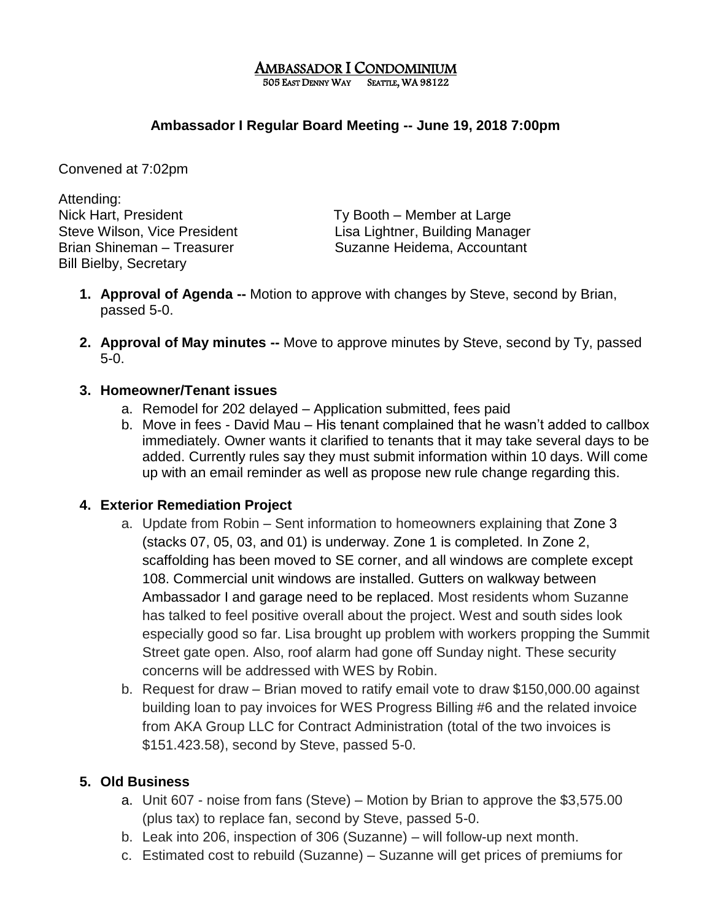#### AMBASSADOR I CONDOMINIUM 505 EAST DENNY WAY SEATTLE, WA 98122

## **Ambassador I Regular Board Meeting -- June 19, 2018 7:00pm**

Convened at 7:02pm

Attending: Nick Hart, President Ty Booth – Member at Large Bill Bielby, Secretary

Steve Wilson, Vice President Lisa Lightner, Building Manager Brian Shineman – Treasurer Suzanne Heidema, Accountant

- **1. Approval of Agenda --** Motion to approve with changes by Steve, second by Brian, passed 5-0.
- **2. Approval of May minutes --** Move to approve minutes by Steve, second by Ty, passed 5-0.

#### **3. Homeowner/Tenant issues**

- a. Remodel for 202 delayed Application submitted, fees paid
- b. Move in fees David Mau His tenant complained that he wasn't added to callbox immediately. Owner wants it clarified to tenants that it may take several days to be added. Currently rules say they must submit information within 10 days. Will come up with an email reminder as well as propose new rule change regarding this.

## **4. Exterior Remediation Project**

- a. Update from Robin Sent information to homeowners explaining that Zone 3 (stacks 07, 05, 03, and 01) is underway. Zone 1 is completed. In Zone 2, scaffolding has been moved to SE corner, and all windows are complete except 108. Commercial unit windows are installed. Gutters on walkway between Ambassador I and garage need to be replaced. Most residents whom Suzanne has talked to feel positive overall about the project. West and south sides look especially good so far. Lisa brought up problem with workers propping the Summit Street gate open. Also, roof alarm had gone off Sunday night. These security concerns will be addressed with WES by Robin.
- b. Request for draw Brian moved to ratify email vote to draw \$150,000.00 against building loan to pay invoices for WES Progress Billing #6 and the related invoice from AKA Group LLC for Contract Administration (total of the two invoices is \$151.423.58), second by Steve, passed 5-0.

## **5. Old Business**

- a. Unit 607 noise from fans (Steve) Motion by Brian to approve the \$3,575.00 (plus tax) to replace fan, second by Steve, passed 5-0.
- b. Leak into 206, inspection of 306 (Suzanne) will follow-up next month.
- c. Estimated cost to rebuild (Suzanne) Suzanne will get prices of premiums for